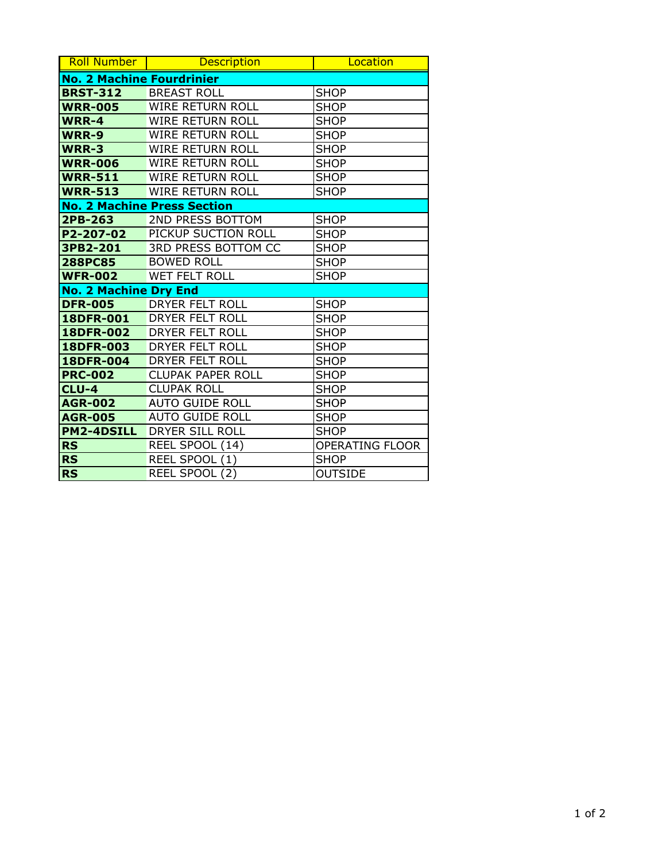| <b>Roll Number</b>                 | <b>Description</b>       | Location               |
|------------------------------------|--------------------------|------------------------|
| <b>No. 2 Machine Fourdrinier</b>   |                          |                        |
| <b>BRST-312</b>                    | <b>BREAST ROLL</b>       | <b>SHOP</b>            |
| <b>WRR-005</b>                     | WIRE RETURN ROLL         | <b>SHOP</b>            |
| WRR-4                              | <b>WIRE RETURN ROLL</b>  | <b>SHOP</b>            |
| WRR-9                              | <b>WIRE RETURN ROLL</b>  | <b>SHOP</b>            |
| <b>WRR-3</b>                       | <b>WIRE RETURN ROLL</b>  | <b>SHOP</b>            |
| <b>WRR-006</b>                     | <b>WIRE RETURN ROLL</b>  | <b>SHOP</b>            |
| <b>WRR-511</b>                     | <b>WIRE RETURN ROLL</b>  | <b>SHOP</b>            |
| <b>WRR-513</b>                     | <b>WIRE RETURN ROLL</b>  | <b>SHOP</b>            |
| <b>No. 2 Machine Press Section</b> |                          |                        |
| 2PB-263                            | 2ND PRESS BOTTOM         | <b>SHOP</b>            |
| P2-207-02                          | PICKUP SUCTION ROLL      | <b>SHOP</b>            |
| 3PB2-201                           | 3RD PRESS BOTTOM CC      | <b>SHOP</b>            |
| <b>288PC85</b>                     | <b>BOWED ROLL</b>        | <b>SHOP</b>            |
| <b>WFR-002</b>                     | <b>WET FELT ROLL</b>     | <b>SHOP</b>            |
| <b>No. 2 Machine Dry End</b>       |                          |                        |
| <b>DFR-005</b>                     | DRYER FELT ROLL          | <b>SHOP</b>            |
| 18DFR-001                          | DRYER FELT ROLL          | <b>SHOP</b>            |
| 18DFR-002                          | DRYER FELT ROLL          | <b>SHOP</b>            |
| 18DFR-003                          | DRYER FELT ROLL          | <b>SHOP</b>            |
| 18DFR-004                          | DRYER FELT ROLL          | <b>SHOP</b>            |
| <b>PRC-002</b>                     | <b>CLUPAK PAPER ROLL</b> | <b>SHOP</b>            |
| <b>CLU-4</b>                       | <b>CLUPAK ROLL</b>       | <b>SHOP</b>            |
| <b>AGR-002</b>                     | <b>AUTO GUIDE ROLL</b>   | <b>SHOP</b>            |
| <b>AGR-005</b>                     | <b>AUTO GUIDE ROLL</b>   | <b>SHOP</b>            |
| <b>PM2-4DSILL</b>                  | DRYER SILL ROLL          | <b>SHOP</b>            |
| <b>RS</b>                          | REEL SPOOL (14)          | <b>OPERATING FLOOR</b> |
| <b>RS</b>                          | REEL SPOOL (1)           | <b>SHOP</b>            |
| <b>RS</b>                          | REEL SPOOL (2)           | <b>OUTSIDE</b>         |